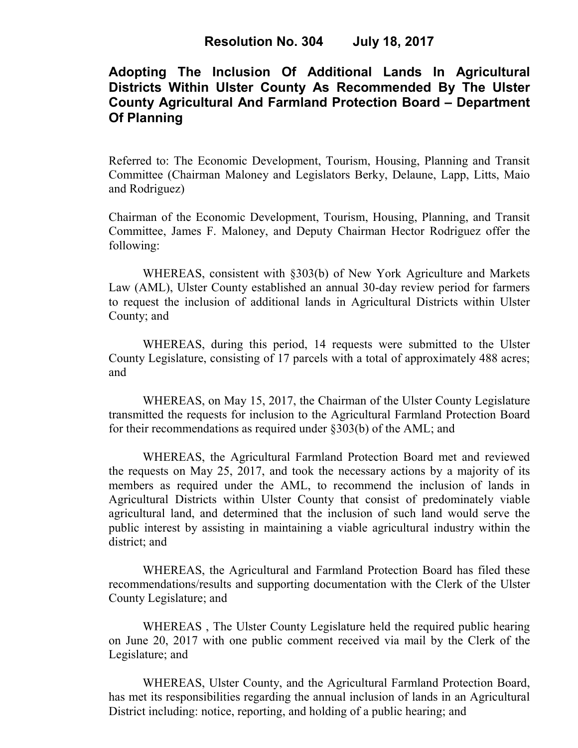# **Adopting The Inclusion Of Additional Lands In Agricultural Districts Within Ulster County As Recommended By The Ulster County Agricultural And Farmland Protection Board – Department Of Planning**

Referred to: The Economic Development, Tourism, Housing, Planning and Transit Committee (Chairman Maloney and Legislators Berky, Delaune, Lapp, Litts, Maio and Rodriguez)

Chairman of the Economic Development, Tourism, Housing, Planning, and Transit Committee, James F. Maloney, and Deputy Chairman Hector Rodriguez offer the following:

WHEREAS, consistent with §303(b) of New York Agriculture and Markets Law (AML), Ulster County established an annual 30-day review period for farmers to request the inclusion of additional lands in Agricultural Districts within Ulster County; and

WHEREAS, during this period, 14 requests were submitted to the Ulster County Legislature, consisting of 17 parcels with a total of approximately 488 acres; and

WHEREAS, on May 15, 2017, the Chairman of the Ulster County Legislature transmitted the requests for inclusion to the Agricultural Farmland Protection Board for their recommendations as required under §303(b) of the AML; and

WHEREAS, the Agricultural Farmland Protection Board met and reviewed the requests on May 25, 2017, and took the necessary actions by a majority of its members as required under the AML, to recommend the inclusion of lands in Agricultural Districts within Ulster County that consist of predominately viable agricultural land, and determined that the inclusion of such land would serve the public interest by assisting in maintaining a viable agricultural industry within the district; and

WHEREAS, the Agricultural and Farmland Protection Board has filed these recommendations/results and supporting documentation with the Clerk of the Ulster County Legislature; and

WHEREAS , The Ulster County Legislature held the required public hearing on June 20, 2017 with one public comment received via mail by the Clerk of the Legislature; and

WHEREAS, Ulster County, and the Agricultural Farmland Protection Board, has met its responsibilities regarding the annual inclusion of lands in an Agricultural District including: notice, reporting, and holding of a public hearing; and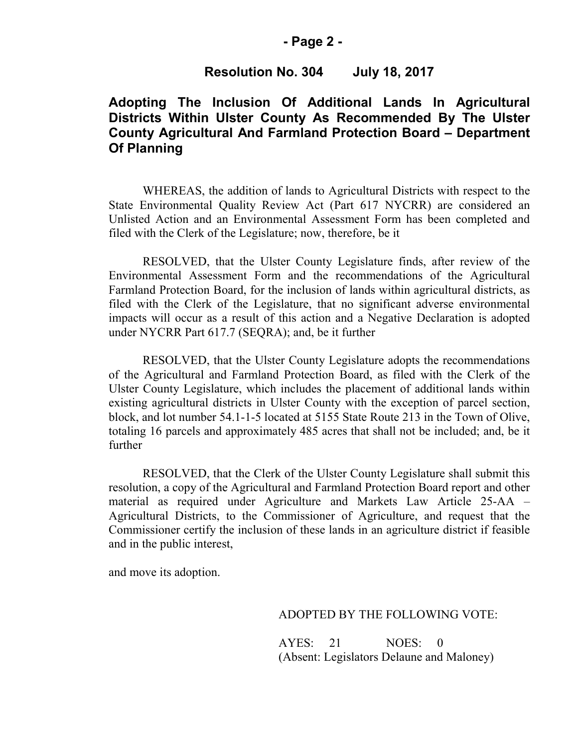#### **- Page 2 -**

### **Resolution No. 304 July 18, 2017**

### **Adopting The Inclusion Of Additional Lands In Agricultural Districts Within Ulster County As Recommended By The Ulster County Agricultural And Farmland Protection Board – Department Of Planning**

WHEREAS, the addition of lands to Agricultural Districts with respect to the State Environmental Quality Review Act (Part 617 NYCRR) are considered an Unlisted Action and an Environmental Assessment Form has been completed and filed with the Clerk of the Legislature; now, therefore, be it

RESOLVED, that the Ulster County Legislature finds, after review of the Environmental Assessment Form and the recommendations of the Agricultural Farmland Protection Board, for the inclusion of lands within agricultural districts, as filed with the Clerk of the Legislature, that no significant adverse environmental impacts will occur as a result of this action and a Negative Declaration is adopted under NYCRR Part 617.7 (SEQRA); and, be it further

RESOLVED, that the Ulster County Legislature adopts the recommendations of the Agricultural and Farmland Protection Board, as filed with the Clerk of the Ulster County Legislature, which includes the placement of additional lands within existing agricultural districts in Ulster County with the exception of parcel section, block, and lot number 54.1-1-5 located at 5155 State Route 213 in the Town of Olive, totaling 16 parcels and approximately 485 acres that shall not be included; and, be it further

RESOLVED, that the Clerk of the Ulster County Legislature shall submit this resolution, a copy of the Agricultural and Farmland Protection Board report and other material as required under Agriculture and Markets Law Article 25-AA – Agricultural Districts, to the Commissioner of Agriculture, and request that the Commissioner certify the inclusion of these lands in an agriculture district if feasible and in the public interest,

and move its adoption.

#### ADOPTED BY THE FOLLOWING VOTE:

AYES: 21 NOES: 0 (Absent: Legislators Delaune and Maloney)